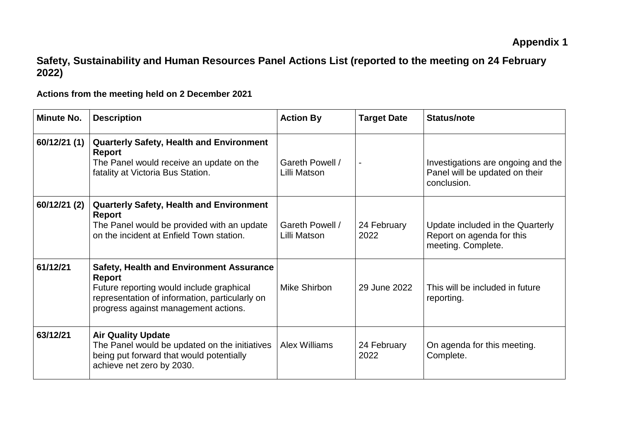## **Safety, Sustainability and Human Resources Panel Actions List (reported to the meeting on 24 February 2022)**

**Actions from the meeting held on 2 December 2021**

| <b>Minute No.</b> | <b>Description</b>                                                                                                                                                                              | <b>Action By</b>                | <b>Target Date</b>  | Status/note                                                                         |
|-------------------|-------------------------------------------------------------------------------------------------------------------------------------------------------------------------------------------------|---------------------------------|---------------------|-------------------------------------------------------------------------------------|
| 60/12/21(1)       | <b>Quarterly Safety, Health and Environment</b><br><b>Report</b><br>The Panel would receive an update on the<br>fatality at Victoria Bus Station.                                               | Gareth Powell /<br>Lilli Matson |                     | Investigations are ongoing and the<br>Panel will be updated on their<br>conclusion. |
| 60/12/21 (2)      | <b>Quarterly Safety, Health and Environment</b><br><b>Report</b><br>The Panel would be provided with an update<br>on the incident at Enfield Town station.                                      | Gareth Powell /<br>Lilli Matson | 24 February<br>2022 | Update included in the Quarterly<br>Report on agenda for this<br>meeting. Complete. |
| 61/12/21          | <b>Safety, Health and Environment Assurance</b><br>Report<br>Future reporting would include graphical<br>representation of information, particularly on<br>progress against management actions. | Mike Shirbon                    | 29 June 2022        | This will be included in future<br>reporting.                                       |
| 63/12/21          | <b>Air Quality Update</b><br>The Panel would be updated on the initiatives<br>being put forward that would potentially<br>achieve net zero by 2030.                                             | <b>Alex Williams</b>            | 24 February<br>2022 | On agenda for this meeting.<br>Complete.                                            |